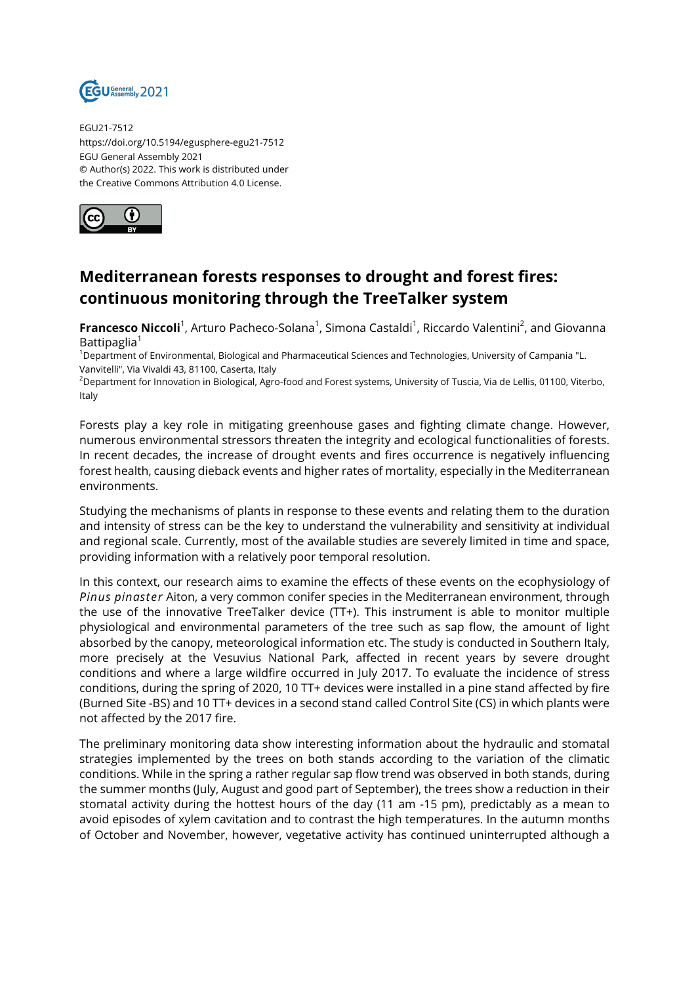

EGU21-7512 https://doi.org/10.5194/egusphere-egu21-7512 EGU General Assembly 2021 © Author(s) 2022. This work is distributed under the Creative Commons Attribution 4.0 License.



## **Mediterranean forests responses to drought and forest fires: continuous monitoring through the TreeTalker system**

**Francesco Niccoli**<sup>1</sup>, Arturo Pacheco-Solana<sup>1</sup>, Simona Castaldi<sup>1</sup>, Riccardo Valentini<sup>2</sup>, and Giovanna Battipaglia $1$ 

<sup>1</sup>Department of Environmental, Biological and Pharmaceutical Sciences and Technologies, University of Campania "L. Vanvitelli", Via Vivaldi 43, 81100, Caserta, Italy

<sup>2</sup>Department for Innovation in Biological, Agro-food and Forest systems, University of Tuscia, Via de Lellis, 01100, Viterbo, Italy

Forests play a key role in mitigating greenhouse gases and fighting climate change. However, numerous environmental stressors threaten the integrity and ecological functionalities of forests. In recent decades, the increase of drought events and fires occurrence is negatively influencing forest health, causing dieback events and higher rates of mortality, especially in the Mediterranean environments.

Studying the mechanisms of plants in response to these events and relating them to the duration and intensity of stress can be the key to understand the vulnerability and sensitivity at individual and regional scale. Currently, most of the available studies are severely limited in time and space, providing information with a relatively poor temporal resolution.

In this context, our research aims to examine the effects of these events on the ecophysiology of *Pinus pinaster* Aiton, a very common conifer species in the Mediterranean environment, through the use of the innovative TreeTalker device (TT+). This instrument is able to monitor multiple physiological and environmental parameters of the tree such as sap flow, the amount of light absorbed by the canopy, meteorological information etc. The study is conducted in Southern Italy, more precisely at the Vesuvius National Park, affected in recent years by severe drought conditions and where a large wildfire occurred in July 2017. To evaluate the incidence of stress conditions, during the spring of 2020, 10 TT+ devices were installed in a pine stand affected by fire (Burned Site -BS) and 10 TT+ devices in a second stand called Control Site (CS) in which plants were not affected by the 2017 fire.

The preliminary monitoring data show interesting information about the hydraulic and stomatal strategies implemented by the trees on both stands according to the variation of the climatic conditions. While in the spring a rather regular sap flow trend was observed in both stands, during the summer months (July, August and good part of September), the trees show a reduction in their stomatal activity during the hottest hours of the day (11 am -15 pm), predictably as a mean to avoid episodes of xylem cavitation and to contrast the high temperatures. In the autumn months of October and November, however, vegetative activity has continued uninterrupted although a